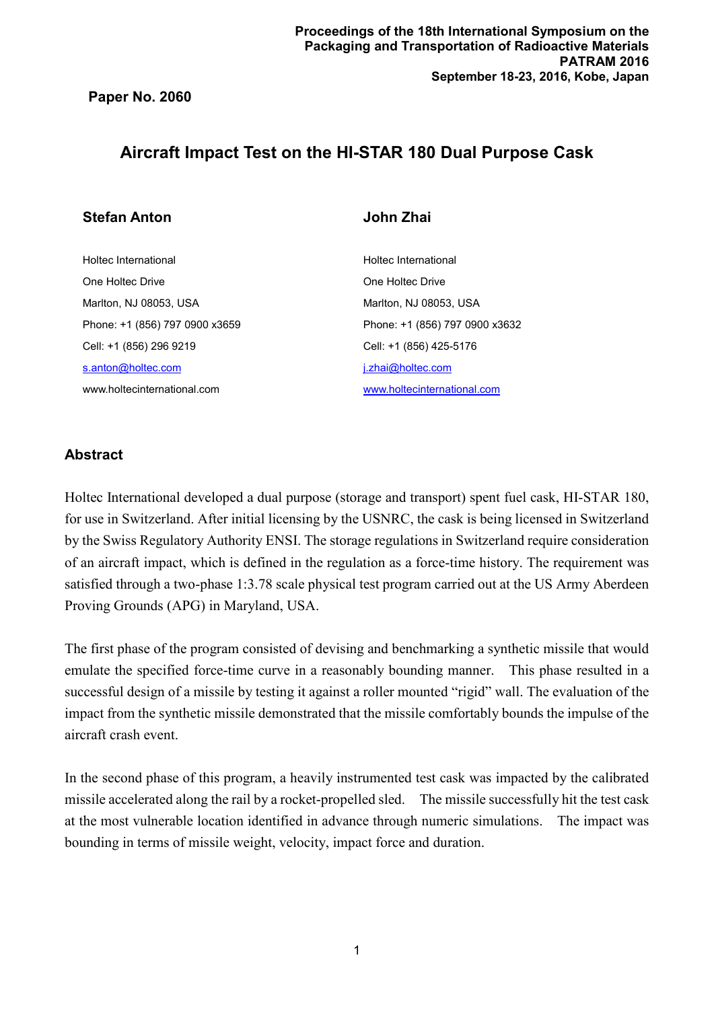# **Aircraft Impact Test on the HI-STAR 180 Dual Purpose Cask**

## **Stefan Anton John Zhai**

Holtec International One Holtec Drive Marlton, NJ 08053, USA Phone: +1 (856) 797 0900 x3659 Cell: +1 (856) 296 9219 [s.anton@holtec.com](mailto:s.anton@holtec.com) www.holtecinternational.com

Holtec International One Holtec Drive Marlton, NJ 08053, USA Phone: +1 (856) 797 0900 x3632 Cell: +1 (856) 425-5176 [j.zhai@holtec.com](mailto:j.zhai@holtec.com) [www.holtecinternational.com](http://www.holtecinternational.com/)

## **Abstract**

Holtec International developed a dual purpose (storage and transport) spent fuel cask, HI-STAR 180, for use in Switzerland. After initial licensing by the USNRC, the cask is being licensed in Switzerland by the Swiss Regulatory Authority ENSI. The storage regulations in Switzerland require consideration of an aircraft impact, which is defined in the regulation as a force-time history. The requirement was satisfied through a two-phase 1:3.78 scale physical test program carried out at the US Army Aberdeen Proving Grounds (APG) in Maryland, USA.

The first phase of the program consisted of devising and benchmarking a synthetic missile that would emulate the specified force-time curve in a reasonably bounding manner. This phase resulted in a successful design of a missile by testing it against a roller mounted "rigid" wall. The evaluation of the impact from the synthetic missile demonstrated that the missile comfortably bounds the impulse of the aircraft crash event.

In the second phase of this program, a heavily instrumented test cask was impacted by the calibrated missile accelerated along the rail by a rocket-propelled sled. The missile successfully hit the test cask at the most vulnerable location identified in advance through numeric simulations. The impact was bounding in terms of missile weight, velocity, impact force and duration.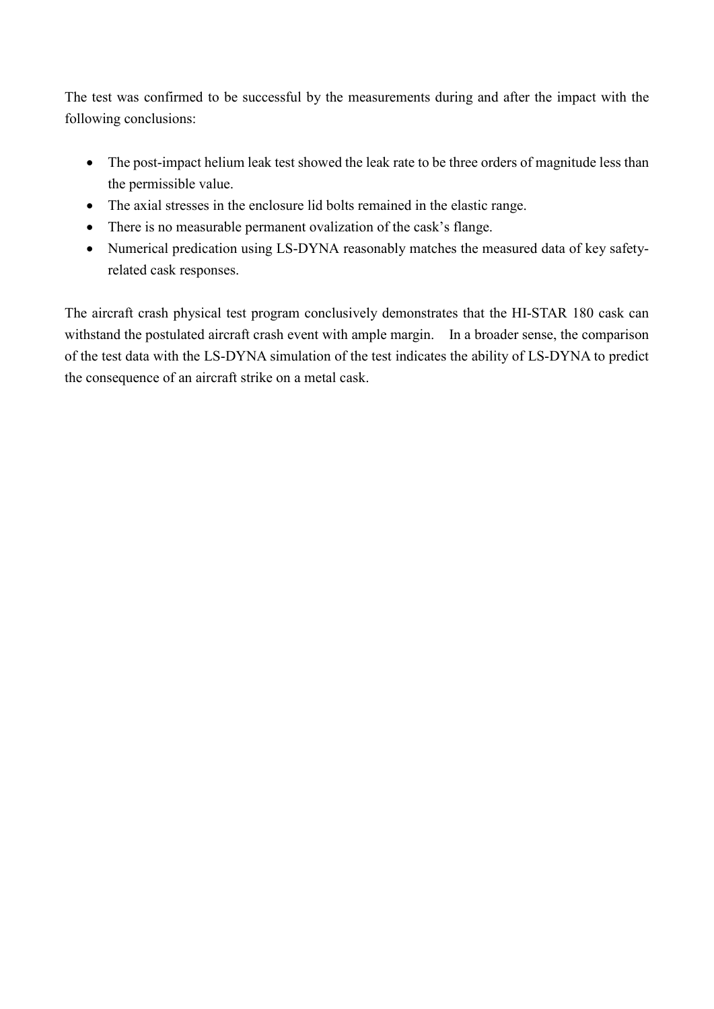The test was confirmed to be successful by the measurements during and after the impact with the following conclusions:

- The post-impact helium leak test showed the leak rate to be three orders of magnitude less than the permissible value.
- The axial stresses in the enclosure lid bolts remained in the elastic range.
- There is no measurable permanent ovalization of the cask's flange.
- Numerical predication using LS-DYNA reasonably matches the measured data of key safetyrelated cask responses.

The aircraft crash physical test program conclusively demonstrates that the HI-STAR 180 cask can withstand the postulated aircraft crash event with ample margin. In a broader sense, the comparison of the test data with the LS-DYNA simulation of the test indicates the ability of LS-DYNA to predict the consequence of an aircraft strike on a metal cask.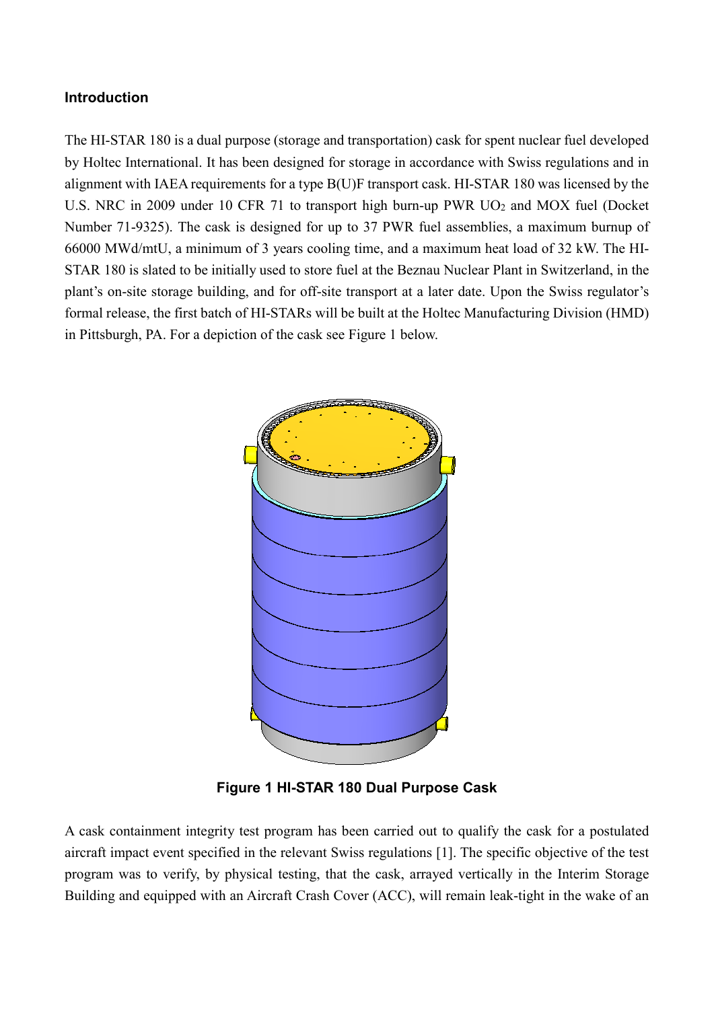## **Introduction**

The HI-STAR 180 is a dual purpose (storage and transportation) cask for spent nuclear fuel developed by Holtec International. It has been designed for storage in accordance with Swiss regulations and in alignment with IAEA requirements for a type B(U)F transport cask. HI-STAR 180 was licensed by the U.S. NRC in 2009 under 10 CFR 71 to transport high burn-up PWR  $UO<sub>2</sub>$  and MOX fuel (Docket Number 71-9325). The cask is designed for up to 37 PWR fuel assemblies, a maximum burnup of 66000 MWd/mtU, a minimum of 3 years cooling time, and a maximum heat load of 32 kW. The HI-STAR 180 is slated to be initially used to store fuel at the Beznau Nuclear Plant in Switzerland, in the plant's on-site storage building, and for off-site transport at a later date. Upon the Swiss regulator's formal release, the first batch of HI-STARs will be built at the Holtec Manufacturing Division (HMD) in Pittsburgh, PA. For a depiction of the cask see Figure 1 below.



**Figure 1 HI-STAR 180 Dual Purpose Cask**

A cask containment integrity test program has been carried out to qualify the cask for a postulated aircraft impact event specified in the relevant Swiss regulations [1]. The specific objective of the test program was to verify, by physical testing, that the cask, arrayed vertically in the Interim Storage Building and equipped with an Aircraft Crash Cover (ACC), will remain leak-tight in the wake of an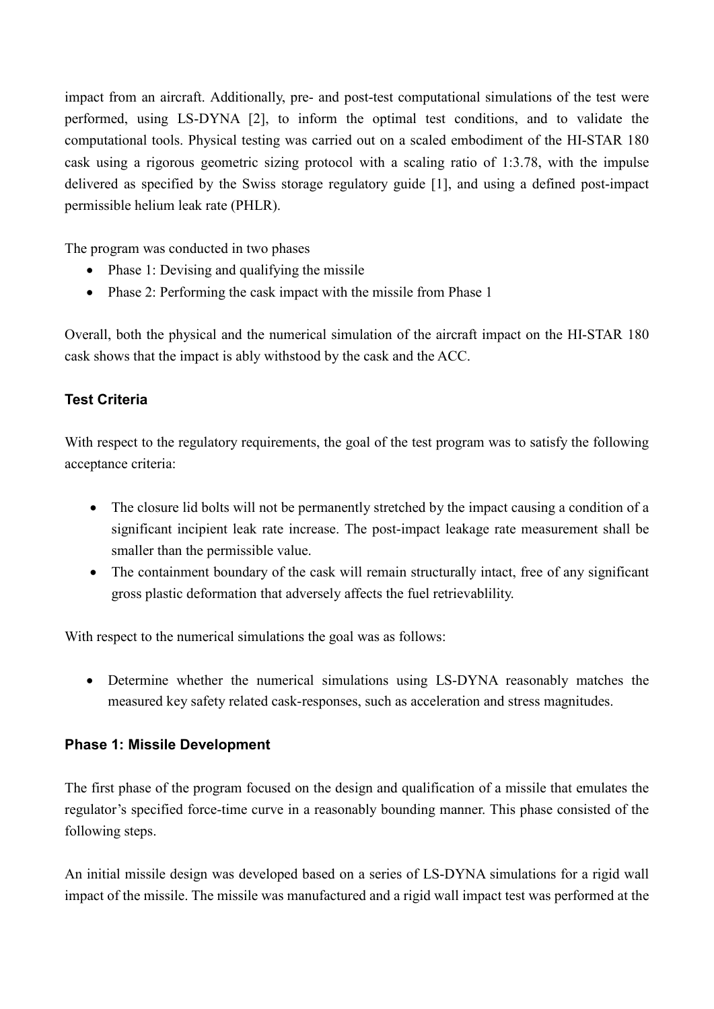impact from an aircraft. Additionally, pre- and post-test computational simulations of the test were performed, using LS-DYNA [2], to inform the optimal test conditions, and to validate the computational tools. Physical testing was carried out on a scaled embodiment of the HI-STAR 180 cask using a rigorous geometric sizing protocol with a scaling ratio of 1:3.78, with the impulse delivered as specified by the Swiss storage regulatory guide [1], and using a defined post-impact permissible helium leak rate (PHLR).

The program was conducted in two phases

- Phase 1: Devising and qualifying the missile
- Phase 2: Performing the cask impact with the missile from Phase 1

Overall, both the physical and the numerical simulation of the aircraft impact on the HI-STAR 180 cask shows that the impact is ably withstood by the cask and the ACC.

## **Test Criteria**

With respect to the regulatory requirements, the goal of the test program was to satisfy the following acceptance criteria:

- The closure lid bolts will not be permanently stretched by the impact causing a condition of a significant incipient leak rate increase. The post-impact leakage rate measurement shall be smaller than the permissible value.
- The containment boundary of the cask will remain structurally intact, free of any significant gross plastic deformation that adversely affects the fuel retrievablility.

With respect to the numerical simulations the goal was as follows:

• Determine whether the numerical simulations using LS-DYNA reasonably matches the measured key safety related cask-responses, such as acceleration and stress magnitudes.

## **Phase 1: Missile Development**

The first phase of the program focused on the design and qualification of a missile that emulates the regulator's specified force-time curve in a reasonably bounding manner. This phase consisted of the following steps.

An initial missile design was developed based on a series of LS-DYNA simulations for a rigid wall impact of the missile. The missile was manufactured and a rigid wall impact test was performed at the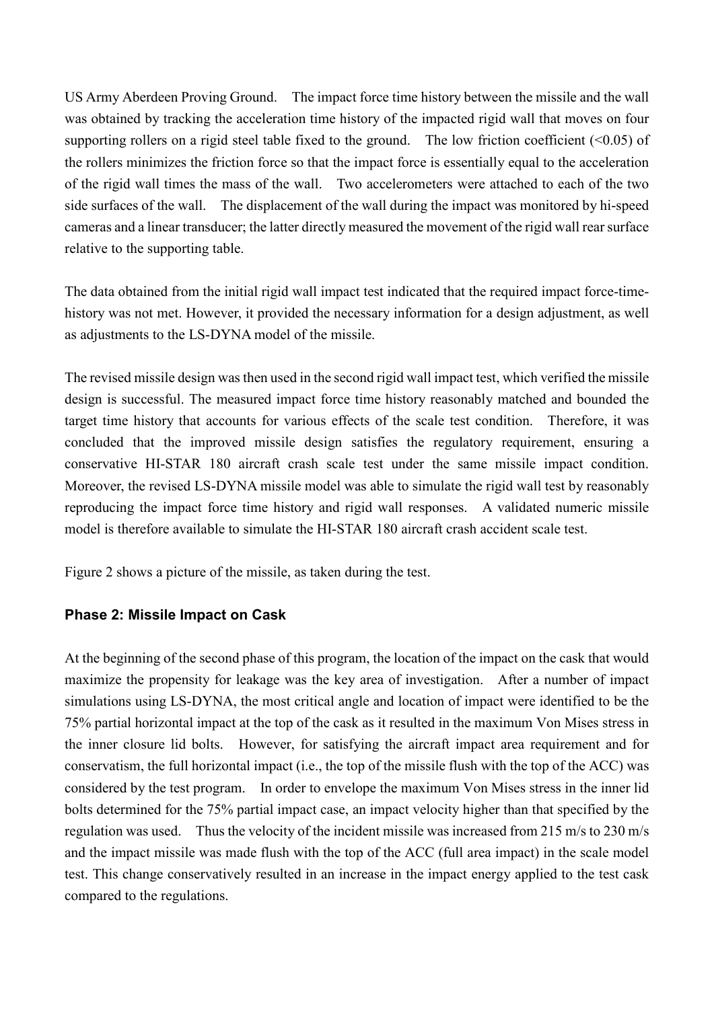US Army Aberdeen Proving Ground. The impact force time history between the missile and the wall was obtained by tracking the acceleration time history of the impacted rigid wall that moves on four supporting rollers on a rigid steel table fixed to the ground. The low friction coefficient  $(0.05)$  of the rollers minimizes the friction force so that the impact force is essentially equal to the acceleration of the rigid wall times the mass of the wall. Two accelerometers were attached to each of the two side surfaces of the wall. The displacement of the wall during the impact was monitored by hi-speed cameras and a linear transducer; the latter directly measured the movement of the rigid wall rear surface relative to the supporting table.

The data obtained from the initial rigid wall impact test indicated that the required impact force-timehistory was not met. However, it provided the necessary information for a design adjustment, as well as adjustments to the LS-DYNA model of the missile.

The revised missile design was then used in the second rigid wall impact test, which verified the missile design is successful. The measured impact force time history reasonably matched and bounded the target time history that accounts for various effects of the scale test condition. Therefore, it was concluded that the improved missile design satisfies the regulatory requirement, ensuring a conservative HI-STAR 180 aircraft crash scale test under the same missile impact condition. Moreover, the revised LS-DYNA missile model was able to simulate the rigid wall test by reasonably reproducing the impact force time history and rigid wall responses. A validated numeric missile model is therefore available to simulate the HI-STAR 180 aircraft crash accident scale test.

Figure 2 shows a picture of the missile, as taken during the test.

## **Phase 2: Missile Impact on Cask**

At the beginning of the second phase of this program, the location of the impact on the cask that would maximize the propensity for leakage was the key area of investigation. After a number of impact simulations using LS-DYNA, the most critical angle and location of impact were identified to be the 75% partial horizontal impact at the top of the cask as it resulted in the maximum Von Mises stress in the inner closure lid bolts. However, for satisfying the aircraft impact area requirement and for conservatism, the full horizontal impact (i.e., the top of the missile flush with the top of the ACC) was considered by the test program. In order to envelope the maximum Von Mises stress in the inner lid bolts determined for the 75% partial impact case, an impact velocity higher than that specified by the regulation was used. Thus the velocity of the incident missile was increased from 215 m/s to 230 m/s and the impact missile was made flush with the top of the ACC (full area impact) in the scale model test. This change conservatively resulted in an increase in the impact energy applied to the test cask compared to the regulations.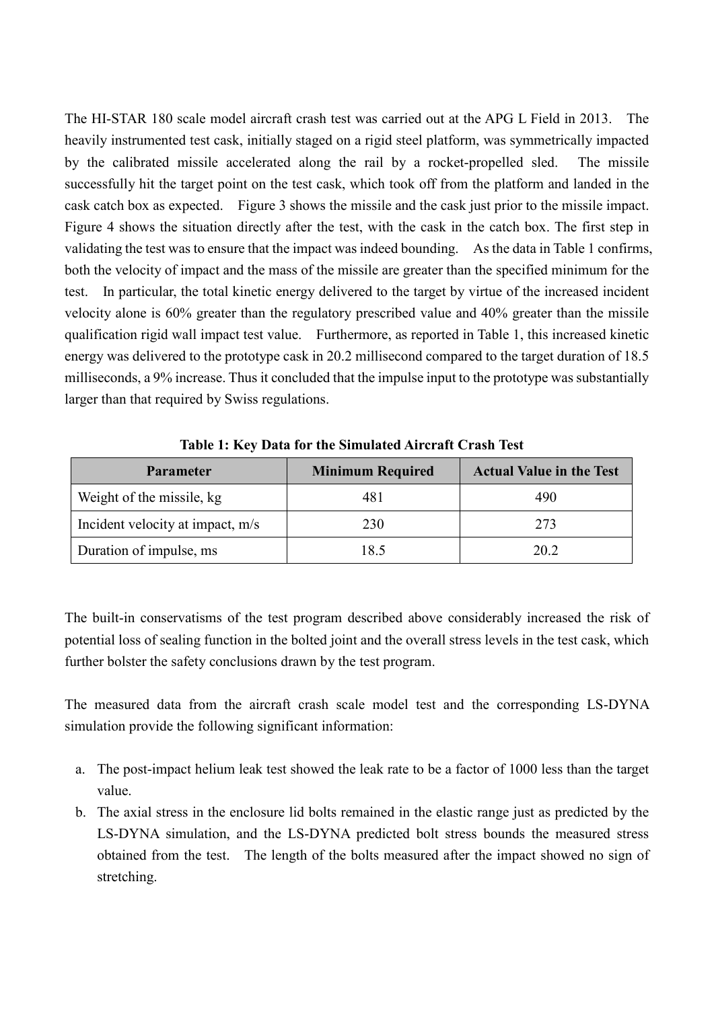The HI-STAR 180 scale model aircraft crash test was carried out at the APG L Field in 2013. The heavily instrumented test cask, initially staged on a rigid steel platform, was symmetrically impacted by the calibrated missile accelerated along the rail by a rocket-propelled sled. The missile successfully hit the target point on the test cask, which took off from the platform and landed in the cask catch box as expected. Figure 3 shows the missile and the cask just prior to the missile impact. Figure 4 shows the situation directly after the test, with the cask in the catch box. The first step in validating the test was to ensure that the impact was indeed bounding. As the data in Table 1 confirms, both the velocity of impact and the mass of the missile are greater than the specified minimum for the test. In particular, the total kinetic energy delivered to the target by virtue of the increased incident velocity alone is 60% greater than the regulatory prescribed value and 40% greater than the missile qualification rigid wall impact test value. Furthermore, as reported in Table 1, this increased kinetic energy was delivered to the prototype cask in 20.2 millisecond compared to the target duration of 18.5 milliseconds, a 9% increase. Thus it concluded that the impulse input to the prototype was substantially larger than that required by Swiss regulations.

| <b>Parameter</b>                 | <b>Minimum Required</b> | <b>Actual Value in the Test</b> |
|----------------------------------|-------------------------|---------------------------------|
| Weight of the missile, kg        | 481                     | 490                             |
| Incident velocity at impact, m/s | 230                     | 273                             |
| Duration of impulse, ms          | 18.5                    | 20.2                            |

**Table 1: Key Data for the Simulated Aircraft Crash Test**

The built-in conservatisms of the test program described above considerably increased the risk of potential loss of sealing function in the bolted joint and the overall stress levels in the test cask, which further bolster the safety conclusions drawn by the test program.

The measured data from the aircraft crash scale model test and the corresponding LS-DYNA simulation provide the following significant information:

- a. The post-impact helium leak test showed the leak rate to be a factor of 1000 less than the target value.
- b. The axial stress in the enclosure lid bolts remained in the elastic range just as predicted by the LS-DYNA simulation, and the LS-DYNA predicted bolt stress bounds the measured stress obtained from the test. The length of the bolts measured after the impact showed no sign of stretching.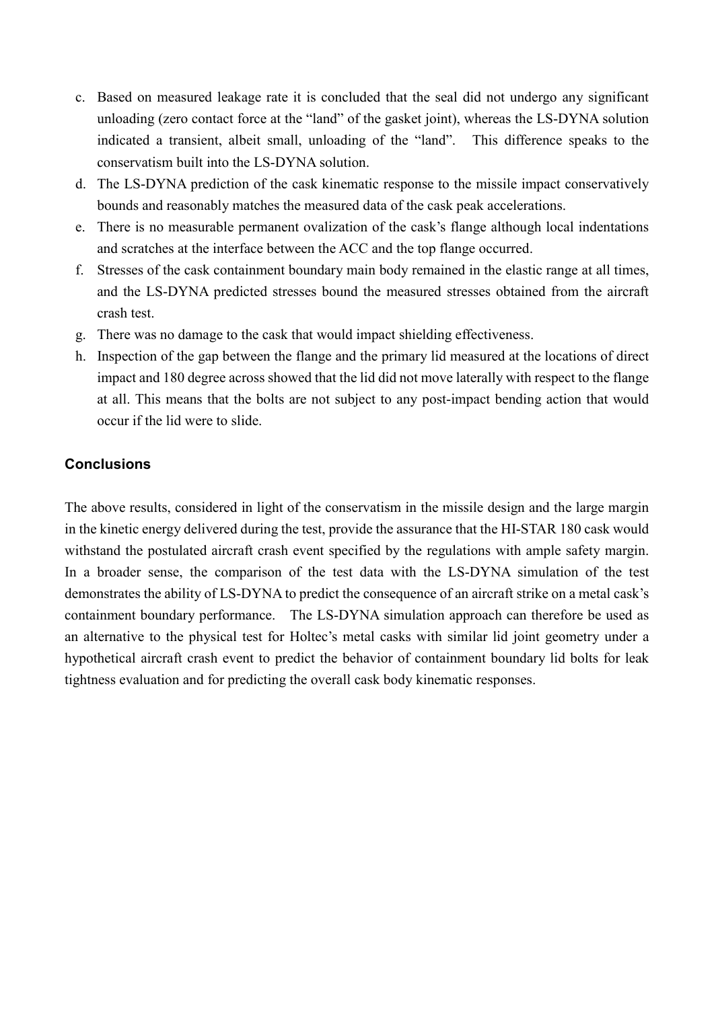- c. Based on measured leakage rate it is concluded that the seal did not undergo any significant unloading (zero contact force at the "land" of the gasket joint), whereas the LS-DYNA solution indicated a transient, albeit small, unloading of the "land". This difference speaks to the conservatism built into the LS-DYNA solution.
- d. The LS-DYNA prediction of the cask kinematic response to the missile impact conservatively bounds and reasonably matches the measured data of the cask peak accelerations.
- e. There is no measurable permanent ovalization of the cask's flange although local indentations and scratches at the interface between the ACC and the top flange occurred.
- f. Stresses of the cask containment boundary main body remained in the elastic range at all times, and the LS-DYNA predicted stresses bound the measured stresses obtained from the aircraft crash test.
- g. There was no damage to the cask that would impact shielding effectiveness.
- h. Inspection of the gap between the flange and the primary lid measured at the locations of direct impact and 180 degree across showed that the lid did not move laterally with respect to the flange at all. This means that the bolts are not subject to any post-impact bending action that would occur if the lid were to slide.

## **Conclusions**

The above results, considered in light of the conservatism in the missile design and the large margin in the kinetic energy delivered during the test, provide the assurance that the HI-STAR 180 cask would withstand the postulated aircraft crash event specified by the regulations with ample safety margin. In a broader sense, the comparison of the test data with the LS-DYNA simulation of the test demonstrates the ability of LS-DYNA to predict the consequence of an aircraft strike on a metal cask's containment boundary performance. The LS-DYNA simulation approach can therefore be used as an alternative to the physical test for Holtec's metal casks with similar lid joint geometry under a hypothetical aircraft crash event to predict the behavior of containment boundary lid bolts for leak tightness evaluation and for predicting the overall cask body kinematic responses.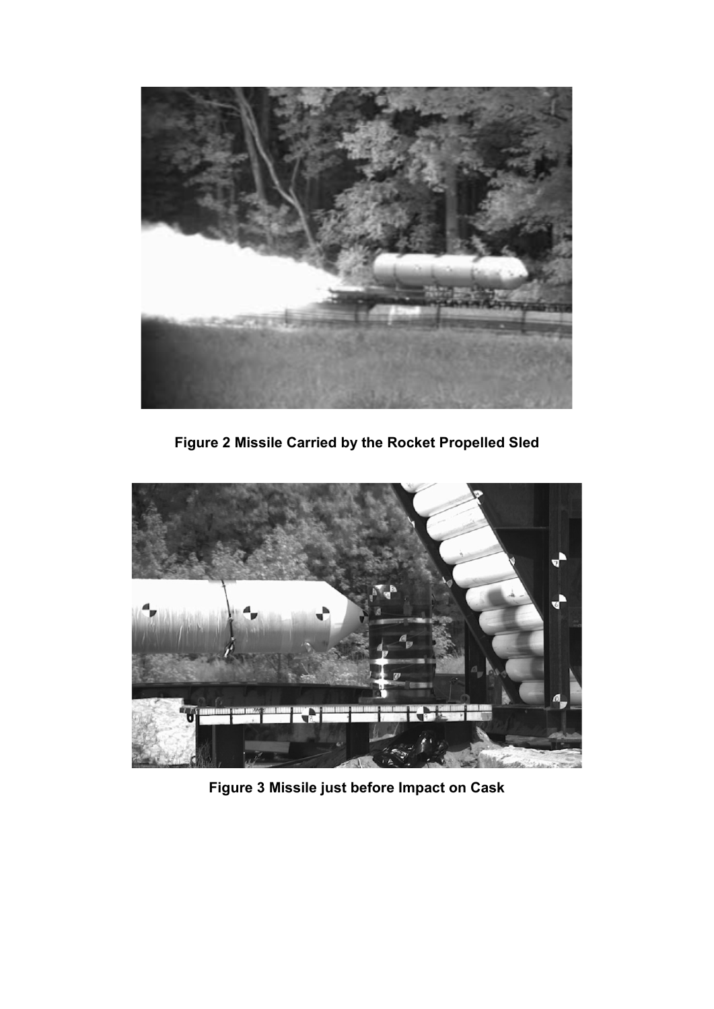

**Figure 2 Missile Carried by the Rocket Propelled Sled**



**Figure 3 Missile just before Impact on Cask**